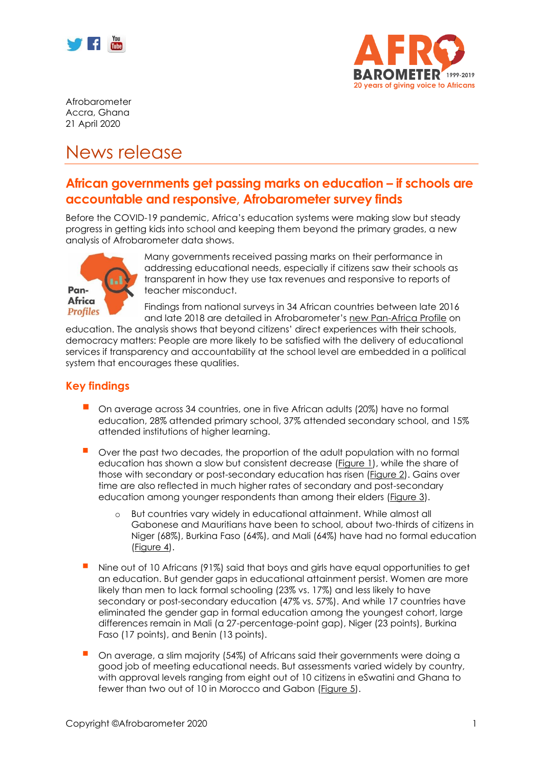



Afrobarometer Accra, Ghana 21 April 2020

# News release

## **African governments get passing marks on education – if schools are accountable and responsive, Afrobarometer survey finds**

Before the COVID-19 pandemic, Africa's education systems were making slow but steady progress in getting kids into school and keeping them beyond the primary grades, a new analysis of Afrobarometer data shows.



Many governments received passing marks on their performance in addressing educational needs, especially if citizens saw their schools as transparent in how they use tax revenues and responsive to reports of teacher misconduct.

Findings from national surveys in 34 African countries between late 2016 and late 2018 are detailed in Afrobarometer's [new Pan-Africa Profile](http://www.afrobarometer.org/) on

education. The analysis shows that beyond citizens' direct experiences with their schools, democracy matters: People are more likely to be satisfied with the delivery of educational services if transparency and accountability at the school level are embedded in a political system that encourages these qualities.

### **Key findings**

- On average across 34 countries, one in five African adults (20%) have no formal education, 28% attended primary school, 37% attended secondary school, and 15% attended institutions of higher learning.
- Over the past two decades, the proportion of the adult population with no formal education has shown a slow but consistent decrease [\(Figure 1\)](#page-1-0), while the share of those with secondary or post-secondary education has risen [\(Figure 2\)](#page-2-0). Gains over time are also reflected in much higher rates of secondary and post-secondary education among younger respondents than among their elders [\(Figure 3\)](#page-2-1).
	- o But countries vary widely in educational attainment. While almost all Gabonese and Mauritians have been to school, about two-thirds of citizens in Niger (68%), Burkina Faso (64%), and Mali (64%) have had no formal education [\(Figure 4\)](#page-3-0).
- Nine out of 10 Africans (91%) said that boys and girls have equal opportunities to get an education. But gender gaps in educational attainment persist. Women are more likely than men to lack formal schooling (23% vs. 17%) and less likely to have secondary or post-secondary education (47% vs. 57%). And while 17 countries have eliminated the gender gap in formal education among the youngest cohort, large differences remain in Mali (a 27-percentage-point gap), Niger (23 points), Burkina Faso (17 points), and Benin (13 points).
- On average, a slim majority (54%) of Africans said their governments were doing a good job of meeting educational needs. But assessments varied widely by country, with approval levels ranging from eight out of 10 citizens in eSwatini and Ghana to fewer than two out of 10 in Morocco and Gabon [\(Figure 5\)](#page-3-1).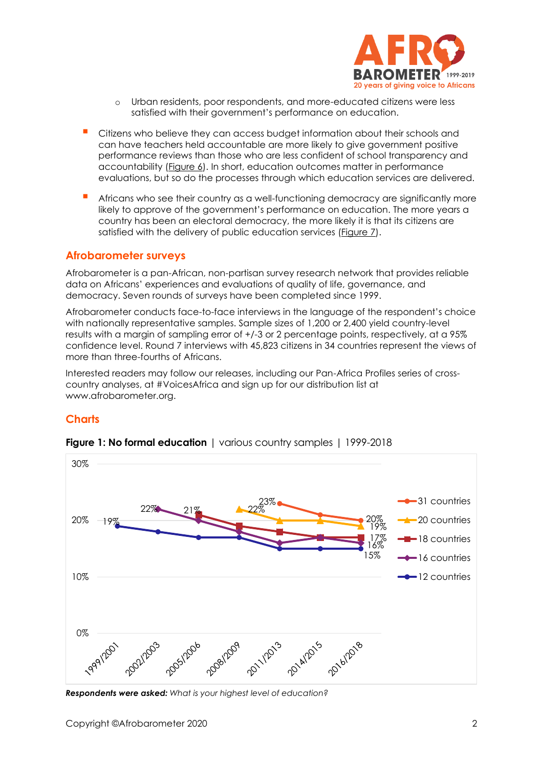

- o Urban residents, poor respondents, and more-educated citizens were less satisfied with their government's performance on education.
- Citizens who believe they can access budget information about their schools and can have teachers held accountable are more likely to give government positive performance reviews than those who are less confident of school transparency and accountability [\(Figure 6\)](#page-4-0). In short, education outcomes matter in performance evaluations, but so do the processes through which education services are delivered.
- Africans who see their country as a well-functioning democracy are significantly more likely to approve of the government's performance on education. The more years a country has been an electoral democracy, the more likely it is that its citizens are satisfied with the delivery of public education services [\(Figure 7\)](#page-5-0).

#### **Afrobarometer surveys**

Afrobarometer is a pan-African, non-partisan survey research network that provides reliable data on Africans' experiences and evaluations of quality of life, governance, and democracy. Seven rounds of surveys have been completed since 1999.

Afrobarometer conducts face-to-face interviews in the language of the respondent's choice with nationally representative samples. Sample sizes of 1,200 or 2,400 yield country-level results with a margin of sampling error of +/-3 or 2 percentage points, respectively, at a 95% confidence level. Round 7 interviews with 45,823 citizens in 34 countries represent the views of more than three-fourths of Africans.

Interested readers may follow our releases, including our Pan-Africa Profiles series of crosscountry analyses, at #VoicesAfrica and sign up for our distribution list at www.afrobarometer.org.

#### **Charts**



<span id="page-1-0"></span>**Figure 1: No formal education** I various country samples 1 1999-2018

*Respondents were asked: What is your highest level of education?*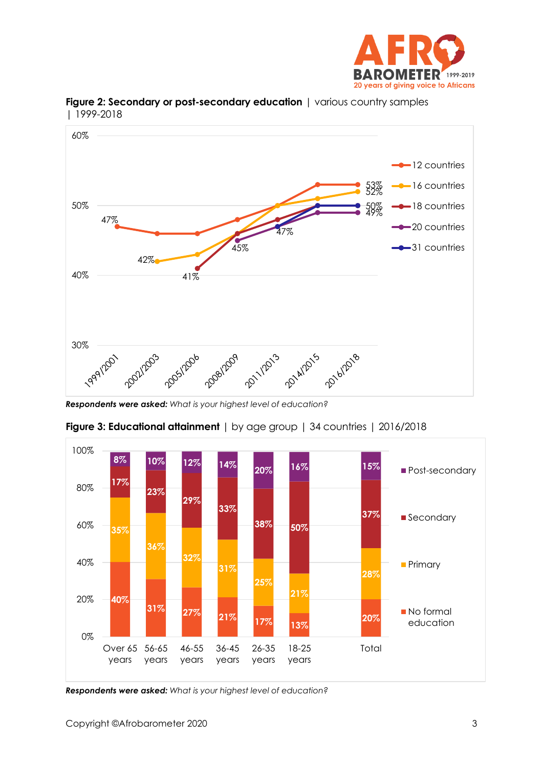



<span id="page-2-0"></span>**Figure 2: Secondary or post-secondary education** | various country samples | 1999-2018

*Respondents were asked: What is your highest level of education?*



<span id="page-2-1"></span>**Figure 3: Educational attainment** | by age group | 34 countries | 2016/2018

*Respondents were asked: What is your highest level of education?*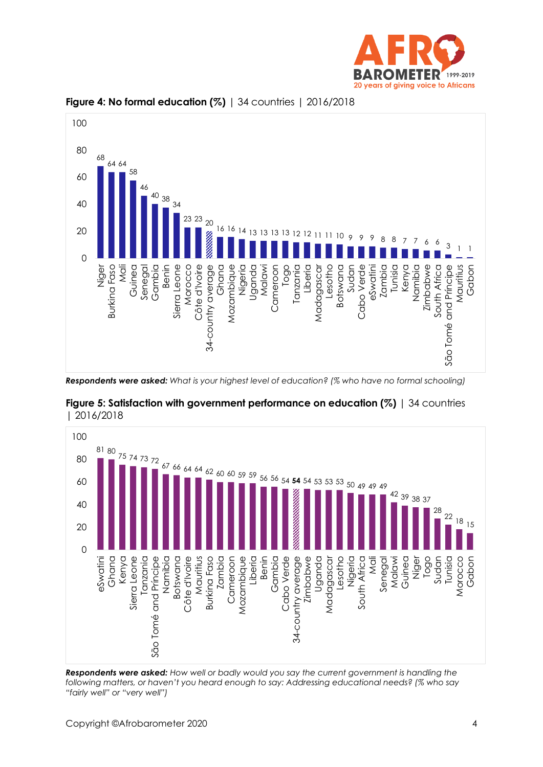



<span id="page-3-0"></span>

*Respondents were asked: What is your highest level of education? (% who have no formal schooling)*



<span id="page-3-1"></span>**Figure 5: Satisfaction with government performance on education (%)** | 34 countries | 2016/2018

*Respondents were asked: How well or badly would you say the current government is handling the following matters, or haven't you heard enough to say: Addressing educational needs? (% who say "fairly well" or "very well")*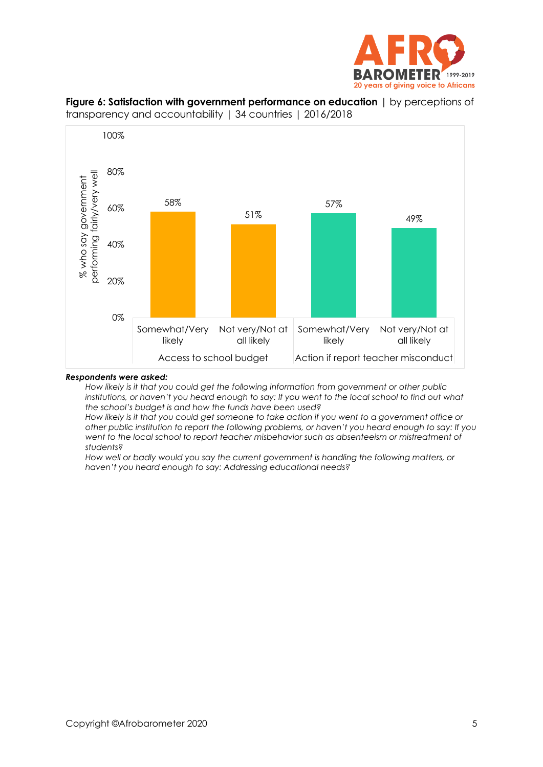



<span id="page-4-0"></span>

#### *Respondents were asked:*

*How likely is it that you could get the following information from government or other public institutions, or haven't you heard enough to say: If you went to the local school to find out what the school's budget is and how the funds have been used?* 

*How likely is it that you could get someone to take action if you went to a government office or other public institution to report the following problems, or haven't you heard enough to say: If you went to the local school to report teacher misbehavior such as absenteeism or mistreatment of students?* 

*How well or badly would you say the current government is handling the following matters, or haven't you heard enough to say: Addressing educational needs?*